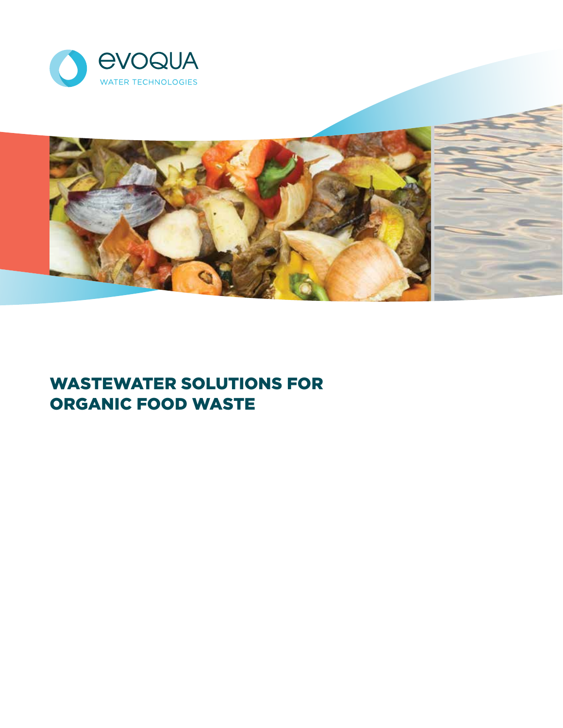



# WASTEWATER SOLUTIONS FOR ORGANIC FOOD WASTE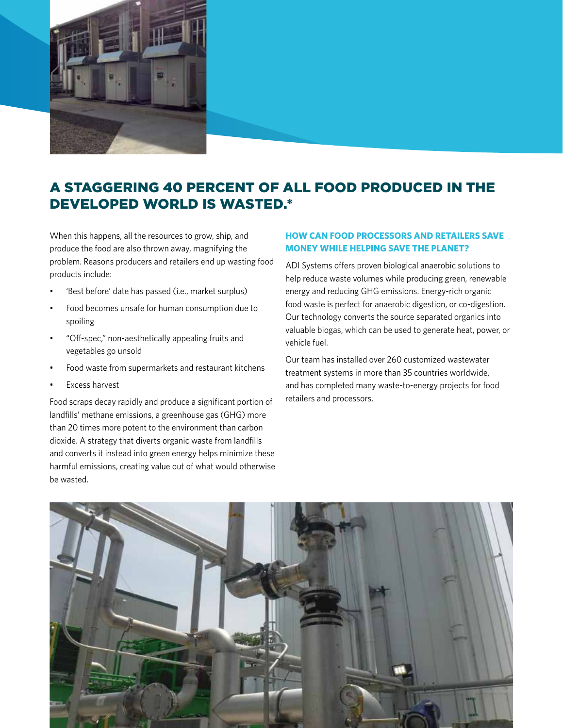

## A STAGGERING 40 PERCENT OF ALL FOOD PRODUCED IN THE DEVELOPED WORLD IS WASTED.\*

When this happens, all the resources to grow, ship, and produce the food are also thrown away, magnifying the problem. Reasons producers and retailers end up wasting food products include:

- 'Best before' date has passed (i.e., market surplus)
- Food becomes unsafe for human consumption due to spoiling
- "Off-spec," non-aesthetically appealing fruits and vegetables go unsold
- Food waste from supermarkets and restaurant kitchens
- Excess harvest

Food scraps decay rapidly and produce a significant portion of landfills' methane emissions, a greenhouse gas (GHG) more than 20 times more potent to the environment than carbon dioxide. A strategy that diverts organic waste from landfills and converts it instead into green energy helps minimize these harmful emissions, creating value out of what would otherwise be wasted.

#### **HOW CAN FOOD PROCESSORS AND RETAILERS SAVE MONEY WHILE HELPING SAVE THE PLANET?**

ADI Systems offers proven biological anaerobic solutions to help reduce waste volumes while producing green, renewable energy and reducing GHG emissions. Energy-rich organic food waste is perfect for anaerobic digestion, or co-digestion. Our technology converts the source separated organics into valuable biogas, which can be used to generate heat, power, or vehicle fuel.

Our team has installed over 260 customized wastewater treatment systems in more than 35 countries worldwide, and has completed many waste-to-energy projects for food retailers and processors.

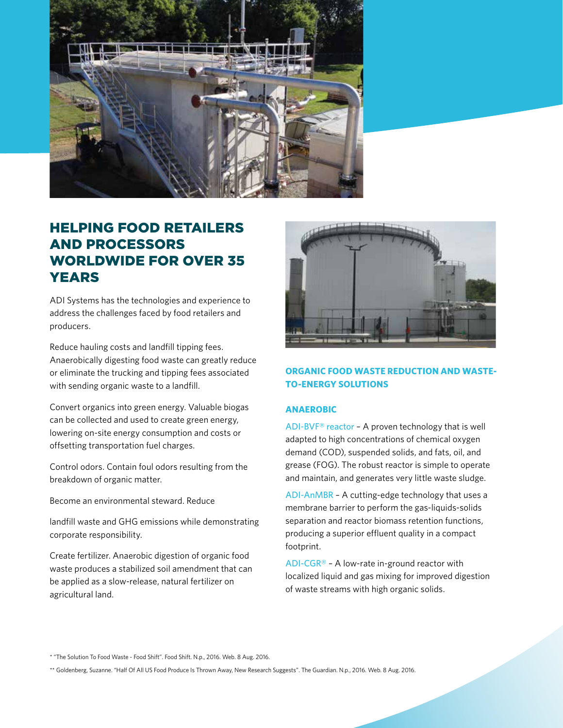

### HELPING FOOD RETAILERS AND PROCESSORS WORLDWIDE FOR OVER 35 YEARS

ADI Systems has the technologies and experience to address the challenges faced by food retailers and producers.

Reduce hauling costs and landfill tipping fees. Anaerobically digesting food waste can greatly reduce or eliminate the trucking and tipping fees associated with sending organic waste to a landfill.

Convert organics into green energy. Valuable biogas can be collected and used to create green energy, lowering on-site energy consumption and costs or offsetting transportation fuel charges.

Control odors. Contain foul odors resulting from the breakdown of organic matter.

Become an environmental steward. Reduce

landfill waste and GHG emissions while demonstrating corporate responsibility.

Create fertilizer. Anaerobic digestion of organic food waste produces a stabilized soil amendment that can be applied as a slow-release, natural fertilizer on agricultural land.



### **ORGANIC FOOD WASTE REDUCTION AND WASTE-TO-ENERGY SOLUTIONS**

#### **ANAEROBIC**

ADI-BVF® reactor - A proven technology that is well adapted to high concentrations of chemical oxygen demand (COD), suspended solids, and fats, oil, and grease (FOG). The robust reactor is simple to operate and maintain, and generates very little waste sludge.

ADI-AnMBR – A cutting-edge technology that uses a membrane barrier to perform the gas-liquids-solids separation and reactor biomass retention functions, producing a superior effluent quality in a compact footprint.

ADI-CGR® – A low-rate in-ground reactor with localized liquid and gas mixing for improved digestion of waste streams with high organic solids.

\* "The Solution To Food Waste - Food Shift". Food Shift. N.p., 2016. Web. 8 Aug. 2016.

\*\* Goldenberg, Suzanne. "Half Of All US Food Produce Is Thrown Away, New Research Suggests". The Guardian. N.p., 2016. Web. 8 Aug. 2016.